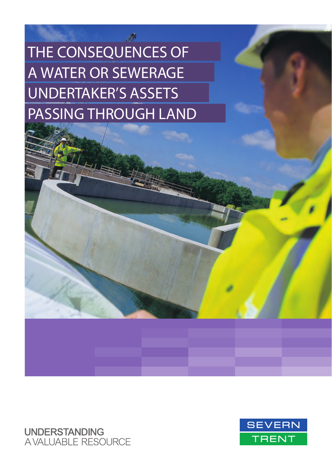THE CONSEQUENCES OF A WATER OR SEWERAGE UNDERTAKER'S ASSETS PASSING THROUGH LAND

**UNDERSTANDING AVALUABLE RESOURCE** 

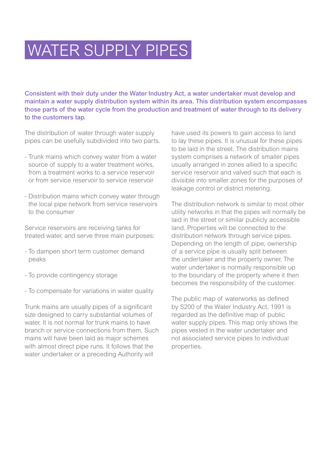# WATER SUPPLY PIPES

Consistent with their duty under the Water Industry Act, a water undertaker must develop and maintain a water supply distribution system within its area. This distribution system encompasses those parts of the water cycle from the production and treatment of water through to its delivery to the customers tap.

The distribution of water through water supply pipes can be usefully subdivided into two parts.

- Trunk mains which convey water from a water source of supply to a water treatment works, from a treatment works to a service reservoir or from service reservoir to service reservoir
- Distribution mains which convey water through the local pipe network from service reservoirs to the consumer

Service reservoirs are receiving tanks for treated water, and serve three main purposes:

- To dampen short term customer demand peaks
- To provide contingency storage
- To compensate for variations in water quality

Trunk mains are usually pipes of a significant size designed to carry substantial volumes of water. It is not normal for trunk mains to have branch or service connections from them. Such mains will have been laid as major schemes with almost direct pipe runs. It follows that the water undertaker or a preceding Authority will

have used its powers to gain access to land to lay these pipes. It is unusual for these pipes to be laid in the street. The distribution mains system comprises a network of smaller pipes usually arranged in zones allied to a specific service reservoir and valved such that each is divisible into smaller zones for the purposes of leakage control or district metering.

The distribution network is similar to most other utility networks in that the pipes will normally be laid in the street or similar publicly accessible land. Properties will be connected to the distribution network through service pipes. Depending on the length of pipe, ownership of a service pipe is usually split between the undertaker and the property owner. The water undertaker is normally responsible up to the boundary of the property where it then becomes the responsibility of the customer.

The public map of waterworks as defined by S200 of the Water Industry Act, 1991 is regarded as the definitive map of public water supply pipes. This map only shows the pipes vested in the water undertaker and not associated service pipes to individual properties.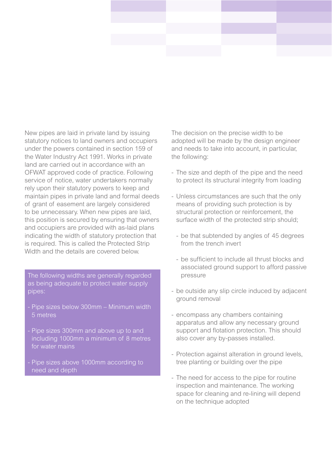New pipes are laid in private land by issuing statutory notices to land owners and occupiers under the powers contained in section 159 of the Water Industry Act 1991. Works in private land are carried out in accordance with an OFWAT approved code of practice. Following service of notice, water undertakers normally rely upon their statutory powers to keep and maintain pipes in private land and formal deeds of grant of easement are largely considered to be unnecessary. When new pipes are laid, this position is secured by ensuring that owners and occupiers are provided with as-laid plans indicating the width of statutory protection that is required. This is called the Protected Strip Width and the details are covered below.

The following widths are generally regarded as being adequate to protect water supply pipes:

- Pipe sizes below 300mm Minimum width 5 metres
- Pipe sizes 300mm and above up to and including 1000mm a minimum of 8 metres
- Pipe sizes above 1000mm according to need and depth

The decision on the precise width to be adopted will be made by the design engineer and needs to take into account, in particular, the following:

- The size and depth of the pipe and the need to protect its structural integrity from loading
- Unless circumstances are such that the only means of providing such protection is by structural protection or reinforcement, the surface width of the protected strip should;
	- be that subtended by angles of 45 degrees from the trench invert
	- be sufficient to include all thrust blocks and associated ground support to afford passive pressure
- be outside any slip circle induced by adjacent ground removal
- encompass any chambers containing apparatus and allow any necessary ground support and flotation protection. This should also cover any by-passes installed.
- Protection against alteration in ground levels, tree planting or building over the pipe
- The need for access to the pipe for routine inspection and maintenance. The working space for cleaning and re-lining will depend on the technique adopted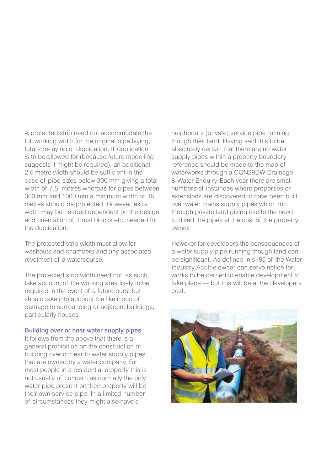A protected strip need not accommodate the full working width for the original pipe laying. future re-laying or duplication. If duplication is to be allowed for (because future modelling suggests it might be required), an additional 2.5 metre width should be sufficient in the case of pipe sizes below 300 mm giving a total width of 7.5, metres whereas for pipes between 300 mm and 1000 mm a minimum width of 15 metres should be protected. However, extra width may be needed dependent on the design and orientation of thrust blocks etc. needed for the duplication.

The protected strip width must allow for washouts and chambers and any associated revetment of a watercourse.

The protected strip width need not, as such, take account of the working area likely to be required in the event of a future burst but should take into account the likelihood of damage to surrounding or adjacent buildings, particularly houses.

#### Building over or near water supply pipes

It follows from the above that there is a general prohibition on the construction of building over or near to water supply pipes that are owned by a water company. For most people in a residential property this is not usually of concern as normally the only water pipe present on their property will be their own service pipe. In a limited number of circumstances they might also have a

neighbours (private) service pipe running though their land. Having said this to be absolutely certain that there are no water supply pipes within a property boundary reference should be made to the map of waterworks through a CON29DW Drainage & Water Enquiry. Each year there are small numbers of instances where properties or extensions are discovered to have been built over water mains supply pipes which run through private land giving rise to the need to divert the pipes at the cost of the property owner.

However for developers the consequences of a water supply pipe running though land can be significant. As defined in s185 of the Water Industry Act the owner can serve notice for works to be carried to enable development to take place — but this will be at the developers cost.

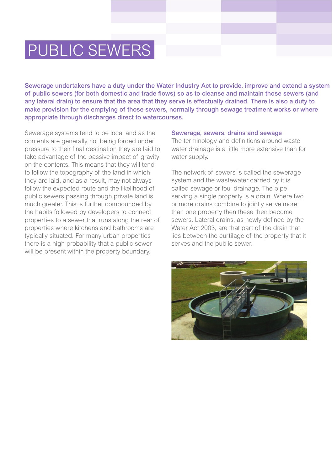# PUBLIC SEWERS

Sewerage undertakers have a duty under the Water Industry Act to provide, improve and extend a system of public sewers (for both domestic and trade flows) so as to cleanse and maintain those sewers (and any lateral drain) to ensure that the area that they serve is effectually drained. There is also a duty to make provision for the emptying of those sewers, normally through sewage treatment works or where appropriate through discharges direct to watercourses.

Sewerage systems tend to be local and as the contents are generally not being forced under pressure to their final destination they are laid to take advantage of the passive impact of gravity on the contents. This means that they will tend to follow the topography of the land in which they are laid, and as a result, may not always follow the expected route and the likelihood of public sewers passing through private land is much greater. This is further compounded by the habits followed by developers to connect properties to a sewer that runs along the rear of properties where kitchens and bathrooms are typically situated. For many urban properties there is a high probability that a public sewer will be present within the property boundary.

#### Sewerage, sewers, drains and sewage

The terminology and definitions around waste water drainage is a little more extensive than for water supply.

The network of sewers is called the sewerage system and the wastewater carried by it is called sewage or foul drainage. The pipe serving a single property is a drain. Where two or more drains combine to jointly serve more than one property then these then become sewers. Lateral drains, as newly defined by the Water Act 2003, are that part of the drain that lies between the curtilage of the property that it serves and the public sewer.

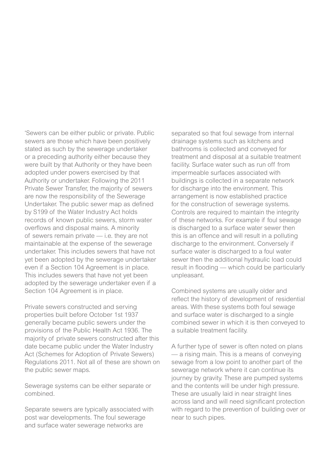'Sewers can be either public or private. Public sewers are those which have been positively stated as such by the sewerage undertaker or a preceding authority either because they were built by that Authority or they have been adopted under powers exercised by that Authority or undertaker. Following the 2011 Private Sewer Transfer, the majority of sewers are now the responsibility of the Sewerage Undertaker. The public sewer map as defined by S199 of the Water Industry Act holds records of known public sewers, storm water overflows and disposal mains. A minority of sewers remain private — i.e. they are not maintainable at the expense of the sewerage undertaker. This includes sewers that have not yet been adopted by the sewerage undertaker even if a Section 104 Agreement is in place. This includes sewers that have not yet been adopted by the sewerage undertaker even if a Section 104 Agreement is in place.

Private sewers constructed and serving properties built before October 1st 1937 generally became public sewers under the provisions of the Public Health Act 1936. The majority of private sewers constructed after this date became public under the Water Industry Act (Schemes for Adoption of Private Sewers) Regulations 2011. Not all of these are shown on the public sewer maps.

Sewerage systems can be either separate or combined.

Separate sewers are typically associated with post war developments. The foul sewerage and surface water sewerage networks are

separated so that foul sewage from internal drainage systems such as kitchens and bathrooms is collected and conveyed for treatment and disposal at a suitable treatment facility. Surface water such as run off from impermeable surfaces associated with buildings is collected in a separate network for discharge into the environment. This arrangement is now established practice for the construction of sewerage systems. Controls are required to maintain the integrity of these networks. For example if foul sewage is discharged to a surface water sewer then this is an offence and will result in a polluting discharge to the environment. Conversely if surface water is discharged to a foul water sewer then the additional hydraulic load could result in flooding — which could be particularly unpleasant.

Combined systems are usually older and reflect the history of development of residential areas. With these systems both foul sewage and surface water is discharged to a single combined sewer in which it is then conveyed to a suitable treatment facility.

A further type of sewer is often noted on plans — a rising main. This is a means of conveying sewage from a low point to another part of the sewerage network where it can continue its journey by gravity. These are pumped systems and the contents will be under high pressure. These are usually laid in near straight lines across land and will need significant protection with regard to the prevention of building over or near to such pipes.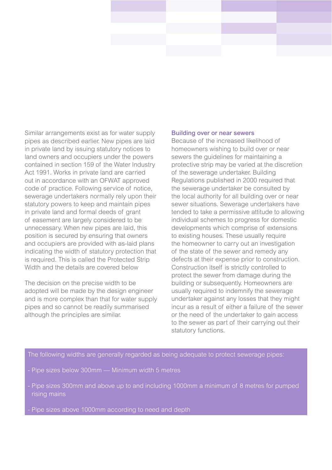Similar arrangements exist as for water supply pipes as described earlier. New pipes are laid in private land by issuing statutory notices to land owners and occupiers under the powers contained in section 159 of the Water Industry Act 1991. Works in private land are carried out in accordance with an OFWAT approved code of practice. Following service of notice, sewerage undertakers normally rely upon their statutory powers to keep and maintain pipes in private land and formal deeds of grant of easement are largely considered to be unnecessary. When new pipes are laid, this position is secured by ensuring that owners and occupiers are provided with as-laid plans indicating the width of statutory protection that is required. This is called the Protected Strip Width and the details are covered below

The decision on the precise width to be adopted will be made by the design engineer and is more complex than that for water supply pipes and so cannot be readily summarised although the principles are similar.

#### Building over or near sewers

Because of the increased likelihood of homeowners wishing to build over or near sewers the guidelines for maintaining a protective strip may be varied at the discretion of the sewerage undertaker. Building Regulations published in 2000 required that the sewerage undertaker be consulted by the local authority for all building over or near sewer situations. Sewerage undertakers have tended to take a permissive attitude to allowing individual schemes to progress for domestic developments which comprise of extensions to existing houses. These usually require the homeowner to carry out an investigation of the state of the sewer and remedy any defects at their expense prior to construction. Construction itself is strictly controlled to protect the sewer from damage during the building or subsequently. Homeowners are usually required to indemnify the sewerage undertaker against any losses that they might incur as a result of either a failure of the sewer or the need of the undertaker to gain access to the sewer as part of their carrying out their statutory functions.

The following widths are generally regarded as being adequate to protect sewerage pipes:

- Pipe sizes below 300mm Minimum width 5 metres
- Pipe sizes 300mm and above up to and including 1000mm a minimum of 8 metres for pumped rising mains
-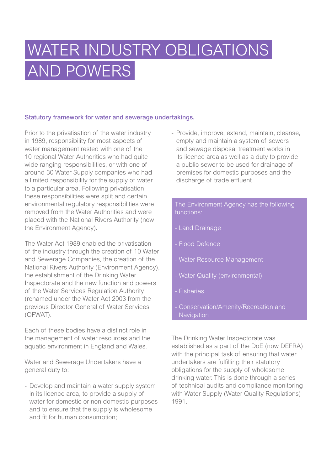# WATER INDUSTRY OBLIGATIONS AND POWERS

### Statutory framework for water and sewerage undertakings.

Prior to the privatisation of the water industry in 1989, responsibility for most aspects of water management rested with one of the 10 regional Water Authorities who had quite wide ranging responsibilities, or with one of around 30 Water Supply companies who had a limited responsibility for the supply of water to a particular area. Following privatisation these responsibilities were split and certain environmental regulatory responsibilities were removed from the Water Authorities and were placed with the National Rivers Authority (now the Environment Agency).

The Water Act 1989 enabled the privatisation of the industry through the creation of 10 Water and Sewerage Companies, the creation of the National Rivers Authority (Environment Agency), the establishment of the Drinking Water Inspectorate and the new function and powers of the Water Services Regulation Authority (renamed under the Water Act 2003 from the previous Director General of Water Services (OFWAT).

Each of these bodies have a distinct role in the management of water resources and the aquatic environment in England and Wales.

Water and Sewerage Undertakers have a general duty to:

- Develop and maintain a water supply system in its licence area, to provide a supply of water for domestic or non domestic purposes and to ensure that the supply is wholesome and fit for human consumption;

- Provide, improve, extend, maintain, cleanse, empty and maintain a system of sewers and sewage disposal treatment works in its licence area as well as a duty to provide a public sewer to be used for drainage of premises for domestic purposes and the discharge of trade effluent

The Environment Agency has the following functions:

- Land Drainage
- Flood Defence
- Water Resource Management
- 
- Fisheries
- **Navigation**

The Drinking Water Inspectorate was established as a part of the DoE (now DEFRA) with the principal task of ensuring that water undertakers are fulfilling their statutory obligations for the supply of wholesome drinking water. This is done through a series of technical audits and compliance monitoring with Water Supply (Water Quality Regulations) 1991.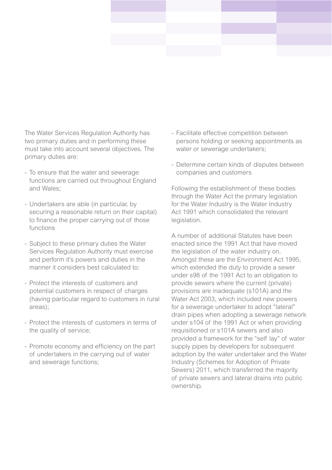The Water Services Regulation Authority has two primary duties and in performing these must take into account several objectives. The primary duties are:

- To ensure that the water and sewerage functions are carried out throughout England and Wales;
- Undertakers are able (in particular, by securing a reasonable return on their capital) to finance the proper carrying out of those functions
- Subject to these primary duties the Water Services Regulation Authority must exercise and perform it's powers and duties in the manner it considers best calculated to:
- Protect the interests of customers and potential customers in respect of charges (having particular regard to customers in rural areas);
- Protect the interests of customers in terms of the quality of service;
- Promote economy and efficiency on the part of undertakers in the carrying out of water and sewerage functions;
- Facilitate effective competition between persons holding or seeking appointments as water or sewerage undertakers:
- Determine certain kinds of disputes between companies and customers

Following the establishment of these bodies through the Water Act the primary legislation for the Water Industry is the Water Industry Act 1991 which consolidated the relevant **legislation** 

A number of additional Statutes have been enacted since the 1991 Act that have moved the legislation of the water industry on. Amongst these are the Environment Act 1995, which extended the duty to provide a sewer under s98 of the 1991 Act to an obligation to provide sewers where the current (private) provisions are inadequate (s101A) and the Water Act 2003, which included new powers for a sewerage undertaker to adopt "lateral" drain pipes when adopting a sewerage network under s104 of the 1991 Act or when providing requisitioned or s101A sewers and also provided a framework for the "self lay" of water supply pipes by developers for subsequent adoption by the water undertaker and the Water Industry (Schemes for Adoption of Private Sewers) 2011, which transferred the majority of private sewers and lateral drains into public ownership.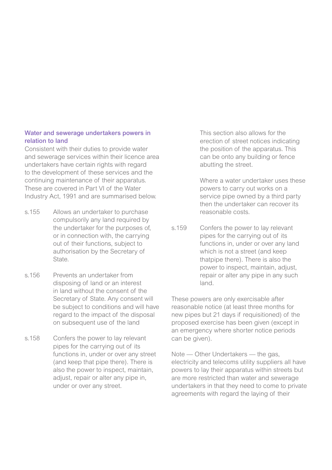### Water and sewerage undertakers powers in relation to land

Consistent with their duties to provide water and sewerage services within their licence area undertakers have certain rights with regard to the development of these services and the continuing maintenance of their apparatus. These are covered in Part VI of the Water Industry Act, 1991 and are summarised below.

- s.155 Allows an undertaker to purchase compulsorily any land required by the undertaker for the purposes of, or in connection with, the carrying out of their functions, subject to authorisation by the Secretary of State.
- s.156 Prevents an undertaker from disposing of land or an interest in land without the consent of the Secretary of State. Any consent will be subject to conditions and will have regard to the impact of the disposal on subsequent use of the land
- s.158 Confers the power to lay relevant pipes for the carrying out of its functions in, under or over any street (and keep that pipe there). There is also the power to inspect, maintain, adjust, repair or alter any pipe in, under or over any street.

This section also allows for the erection of street notices indicating the position of the apparatus. This can be onto any building or fence abutting the street.

Where a water undertaker uses these powers to carry out works on a service pipe owned by a third party then the undertaker can recover its reasonable costs.

s.159 Confers the power to lay relevant pipes for the carrying out of its functions in, under or over any land which is not a street (and keep thatpipe there). There is also the power to inspect, maintain, adjust, repair or alter any pipe in any such land.

These powers are only exercisable after reasonable notice (at least three months for new pipes but 21 days if requisitioned) of the proposed exercise has been given (except in an emergency where shorter notice periods can be given).

Note — Other Undertakers — the gas, electricity and telecoms utility suppliers all have powers to lay their apparatus within streets but are more restricted than water and sewerage undertakers in that they need to come to private agreements with regard the laying of their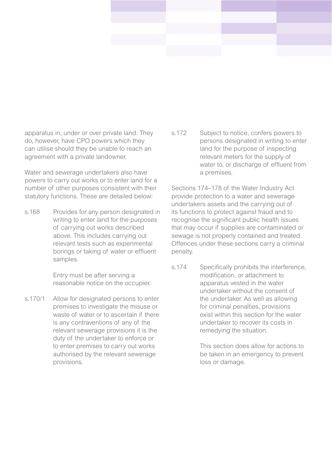apparatus in, under or over private land. They do, however, have CPO powers which they can utilise should they be unable to reach an agreement with a private landowner.

Water and sewerage undertakers also have powers to carry out works or to enter land for a number of other purposes consistent with their statutory functions. These are detailed below:

s.168 Provides for any person designated in writing to enter land for the purposes of carrying out works described above. This includes carrying out relevant tests such as experimental borings or taking of water or effluent samples.

> Entry must be after serving a reasonable notice on the occupier.

s.170/1 Allow for designated persons to enter premises to investigate the misuse or waste of water or to ascertain if there is any contraventions of any of the relevant sewerage provisions it is the duty of the undertaker to enforce or to enter premises to carry out works authorised by the relevant sewerage provisions.

s.172 Subject to notice, confers powers to persons designated in writing to enter land for the purpose of inspecting relevant meters for the supply of water to, or discharge of effluent from a premises.

Sections 174–178 of the Water Industry Act provide protection to a water and sewerage undertakers assets and the carrying out of its functions to protect against fraud and to recognise the significant public health issues that may occur if supplies are contaminated or sewage is not properly contained and treated. Offences under these sections carry a criminal penalty.

s.174 Specifically prohibits the interference, modification, or attachment to apparatus vested in the water undertaker without the consent of the undertaker. As well as allowing for criminal penalties, provisions exist within this section for the water undertaker to recover its costs in remedying the situation.

> This section does allow for actions to be taken in an emergency to prevent loss or damage.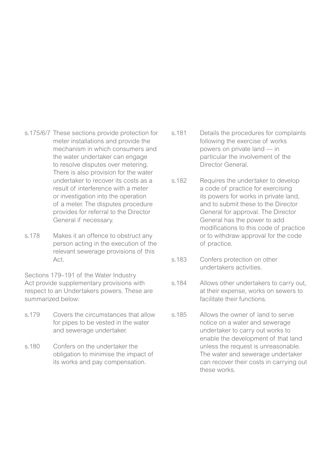- s.175/6/7 These sections provide protection for meter installations and provide the mechanism in which consumers and the water undertaker can engage to resolve disputes over metering. There is also provision for the water undertaker to recover its costs as a result of interference with a meter or investigation into the operation of a meter. The disputes procedure provides for referral to the Director General if necessary.
- s.178 Makes it an offence to obstruct any person acting in the execution of the relevant sewerage provisions of this Act.

Sections 179–191 of the Water Industry Act provide supplementary provisions with respect to an Undertakers powers. These are summarized below:

- s.179 Covers the circumstances that allow for pipes to be vested in the water and sewerage undertaker.
- s.180 Confers on the undertaker the obligation to minimise the impact of its works and pay compensation.
- s.181 Details the procedures for complaints following the exercise of works powers on private land — in particular the involvement of the Director General.
- s.182 Requires the undertaker to develop a code of practice for exercising its powers for works in private land, and to submit these to the Director General for approval. The Director General has the power to add modifications to this code of practice or to withdraw approval for the code of practice.
- s.183 Confers protection on other undertakers activities.
- s.184 Allows other undertakers to carry out, at their expense, works on sewers to facilitate their functions.
- s.185 Allows the owner of land to serve notice on a water and sewerage undertaker to carry out works to enable the development of that land unless the request is unreasonable. The water and sewerage undertaker can recover their costs in carrying out these works.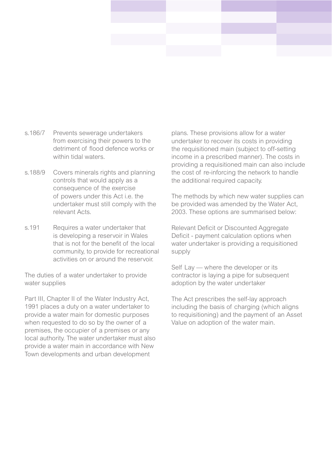- s.186/7 Prevents sewerage undertakers from exercising their powers to the detriment of flood defence works or within tidal waters.
- s.188/9 Covers minerals rights and planning controls that would apply as a consequence of the exercise of powers under this Act i.e. the undertaker must still comply with the relevant Acts.
- s.191 Requires a water undertaker that is developing a reservoir in Wales that is not for the benefit of the local community, to provide for recreational activities on or around the reservoir.

The duties of a water undertaker to provide water supplies

Part III, Chapter II of the Water Industry Act, 1991 places a duty on a water undertaker to provide a water main for domestic purposes when requested to do so by the owner of a premises, the occupier of a premises or any local authority. The water undertaker must also provide a water main in accordance with New Town developments and urban development

plans. These provisions allow for a water undertaker to recover its costs in providing the requisitioned main (subject to off-setting income in a prescribed manner). The costs in providing a requisitioned main can also include the cost of re-inforcing the network to handle the additional required capacity.

The methods by which new water supplies can be provided was amended by the Water Act, 2003. These options are summarised below:

Relevant Deficit or Discounted Aggregate Deficit - payment calculation options when water undertaker is providing a requisitioned supply

Self Lay — where the developer or its contractor is laying a pipe for subsequent adoption by the water undertaker

The Act prescribes the self-lay approach including the basis of charging (which aligns to requisitioning) and the payment of an Asset Value on adoption of the water main.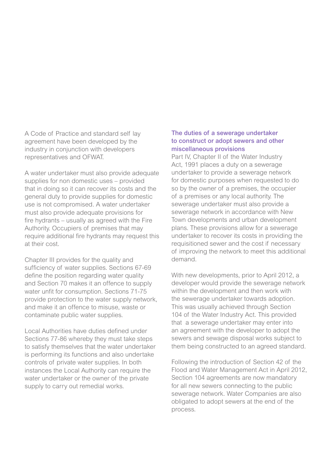A Code of Practice and standard self lay agreement have been developed by the industry in conjunction with developers representatives and OFWAT.

A water undertaker must also provide adequate supplies for non domestic uses – provided that in doing so it can recover its costs and the general duty to provide supplies for domestic use is not compromised. A water undertaker must also provide adequate provisions for fire hydrants – usually as agreed with the Fire Authority. Occupiers of premises that may require additional fire hydrants may request this at their cost.

Chapter III provides for the quality and sufficiency of water supplies. Sections 67-69 define the position regarding water quality and Section 70 makes it an offence to supply water unfit for consumption. Sections 71-75 provide protection to the water supply network, and make it an offence to misuse, waste or contaminate public water supplies.

Local Authorities have duties defined under Sections 77-86 whereby they must take steps to satisfy themselves that the water undertaker is performing its functions and also undertake controls of private water supplies. In both instances the Local Authority can require the water undertaker or the owner of the private supply to carry out remedial works.

### The duties of a sewerage undertaker to construct or adopt sewers and other miscellaneous provisions

Part IV, Chapter II of the Water Industry Act, 1991 places a duty on a sewerage undertaker to provide a sewerage network for domestic purposes when requested to do so by the owner of a premises, the occupier of a premises or any local authority. The sewerage undertaker must also provide a sewerage network in accordance with New Town developments and urban development plans. These provisions allow for a sewerage undertaker to recover its costs in providing the requisitioned sewer and the cost if necessary of improving the network to meet this additional demand.

With new developments, prior to April 2012, a developer would provide the sewerage network within the development and then work with the sewerage undertaker towards adoption. This was usually achieved through Section 104 of the Water Industry Act. This provided that a sewerage undertaker may enter into an agreement with the developer to adopt the sewers and sewage disposal works subject to them being constructed to an agreed standard.

Following the introduction of Section 42 of the Flood and Water Management Act in April 2012, Section 104 agreements are now mandatory for all new sewers connecting to the public sewerage network. Water Companies are also obligated to adopt sewers at the end of the process.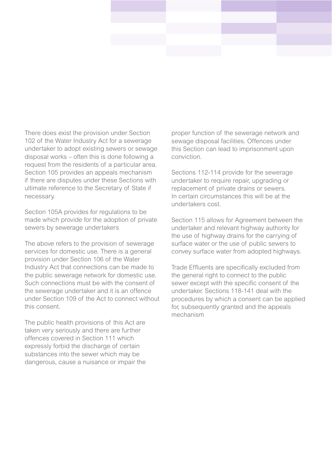There does exist the provision under Section 102 of the Water Industry Act for a sewerage undertaker to adopt existing sewers or sewage disposal works – often this is done following a request from the residents of a particular area. Section 105 provides an appeals mechanism if there are disputes under these Sections with ultimate reference to the Secretary of State if necessary.

Section 105A provides for regulations to be made which provide for the adoption of private sewers by sewerage undertakers

The above refers to the provision of sewerage services for domestic use. There is a general provision under Section 106 of the Water Industry Act that connections can be made to the public sewerage network for domestic use. Such connections must be with the consent of the sewerage undertaker and it is an offence under Section 109 of the Act to connect without this consent.

The public health provisions of this Act are taken very seriously and there are further offences covered in Section 111 which expressly forbid the discharge of certain substances into the sewer which may be dangerous, cause a nuisance or impair the proper function of the sewerage network and sewage disposal facilities. Offences under this Section can lead to imprisonment upon conviction.

Sections 112-114 provide for the sewerage undertaker to require repair, upgrading or replacement of private drains or sewers. In certain circumstances this will be at the undertakers cost.

Section 115 allows for Agreement between the undertaker and relevant highway authority for the use of highway drains for the carrying of surface water or the use of public sewers to convey surface water from adopted highways.

Trade Effluents are specifically excluded from the general right to connect to the public sewer except with the specific consent of the undertaker. Sections 118-141 deal with the procedures by which a consent can be applied for, subsequently granted and the appeals mechanism